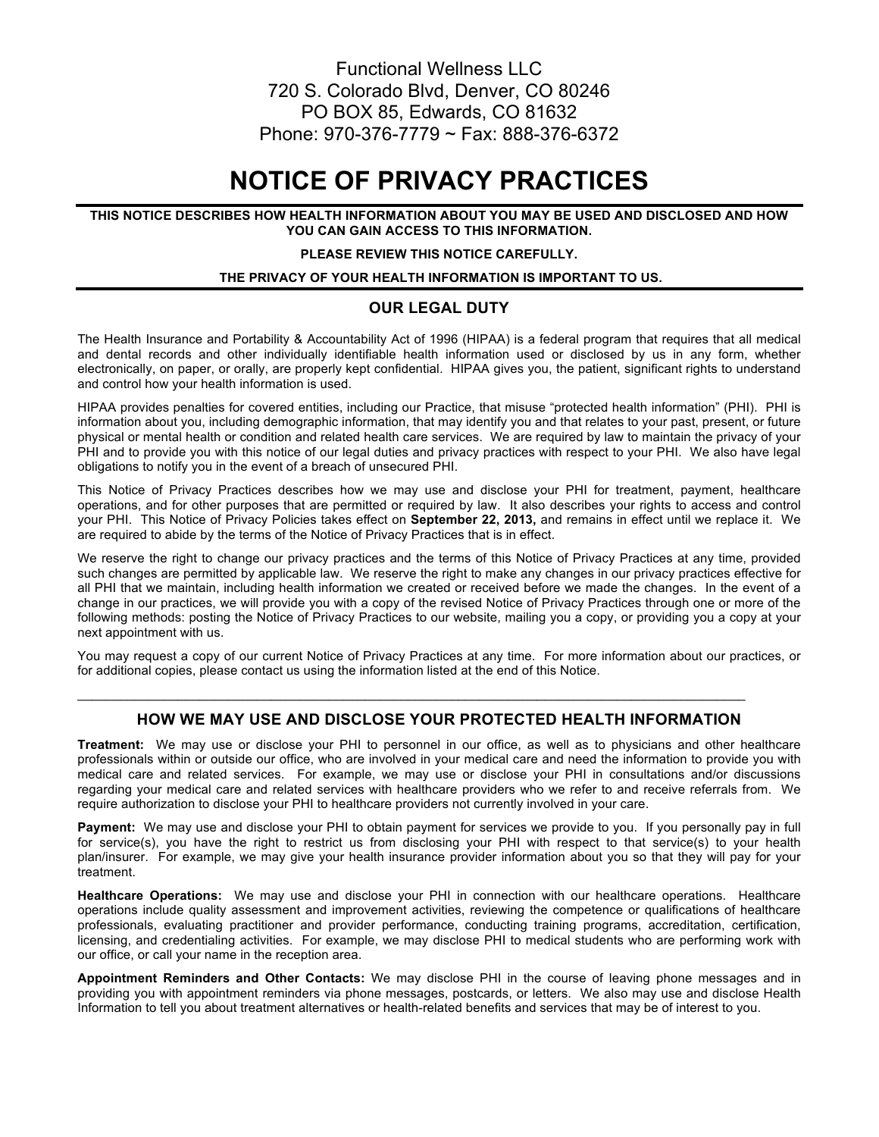### Functional Wellness LLC 720 S. Colorado Blvd, Denver, CO 80246 PO BOX 85, Edwards, CO 81632 Phone: 970-376-7779 ~ Fax: 888-376-6372

## **NOTICE OF PRIVACY PRACTICES**

#### **THIS NOTICE DESCRIBES HOW HEALTH INFORMATION ABOUT YOU MAY BE USED AND DISCLOSED AND HOW YOU CAN GAIN ACCESS TO THIS INFORMATION.**

#### **PLEASE REVIEW THIS NOTICE CAREFULLY.**

#### **THE PRIVACY OF YOUR HEALTH INFORMATION IS IMPORTANT TO US.**

#### **OUR LEGAL DUTY**

The Health Insurance and Portability & Accountability Act of 1996 (HIPAA) is a federal program that requires that all medical and dental records and other individually identifiable health information used or disclosed by us in any form, whether electronically, on paper, or orally, are properly kept confidential. HIPAA gives you, the patient, significant rights to understand and control how your health information is used.

HIPAA provides penalties for covered entities, including our Practice, that misuse "protected health information" (PHI). PHI is information about you, including demographic information, that may identify you and that relates to your past, present, or future physical or mental health or condition and related health care services. We are required by law to maintain the privacy of your PHI and to provide you with this notice of our legal duties and privacy practices with respect to your PHI. We also have legal obligations to notify you in the event of a breach of unsecured PHI.

This Notice of Privacy Practices describes how we may use and disclose your PHI for treatment, payment, healthcare operations, and for other purposes that are permitted or required by law. It also describes your rights to access and control your PHI. This Notice of Privacy Policies takes effect on **September 22, 2013,** and remains in effect until we replace it. We are required to abide by the terms of the Notice of Privacy Practices that is in effect.

We reserve the right to change our privacy practices and the terms of this Notice of Privacy Practices at any time, provided such changes are permitted by applicable law. We reserve the right to make any changes in our privacy practices effective for all PHI that we maintain, including health information we created or received before we made the changes. In the event of a change in our practices, we will provide you with a copy of the revised Notice of Privacy Practices through one or more of the following methods: posting the Notice of Privacy Practices to our website, mailing you a copy, or providing you a copy at your next appointment with us.

You may request a copy of our current Notice of Privacy Practices at any time. For more information about our practices, or for additional copies, please contact us using the information listed at the end of this Notice.

#### **HOW WE MAY USE AND DISCLOSE YOUR PROTECTED HEALTH INFORMATION**

 $\mathcal{L}_\mathcal{L} = \mathcal{L}_\mathcal{L} = \mathcal{L}_\mathcal{L} = \mathcal{L}_\mathcal{L} = \mathcal{L}_\mathcal{L} = \mathcal{L}_\mathcal{L} = \mathcal{L}_\mathcal{L} = \mathcal{L}_\mathcal{L} = \mathcal{L}_\mathcal{L} = \mathcal{L}_\mathcal{L} = \mathcal{L}_\mathcal{L} = \mathcal{L}_\mathcal{L} = \mathcal{L}_\mathcal{L} = \mathcal{L}_\mathcal{L} = \mathcal{L}_\mathcal{L} = \mathcal{L}_\mathcal{L} = \mathcal{L}_\mathcal{L}$ 

**Treatment:** We may use or disclose your PHI to personnel in our office, as well as to physicians and other healthcare professionals within or outside our office, who are involved in your medical care and need the information to provide you with medical care and related services. For example, we may use or disclose your PHI in consultations and/or discussions regarding your medical care and related services with healthcare providers who we refer to and receive referrals from. We require authorization to disclose your PHI to healthcare providers not currently involved in your care.

**Payment:** We may use and disclose your PHI to obtain payment for services we provide to you. If you personally pay in full for service(s), you have the right to restrict us from disclosing your PHI with respect to that service(s) to your health plan/insurer. For example, we may give your health insurance provider information about you so that they will pay for your treatment.

**Healthcare Operations:** We may use and disclose your PHI in connection with our healthcare operations. Healthcare operations include quality assessment and improvement activities, reviewing the competence or qualifications of healthcare professionals, evaluating practitioner and provider performance, conducting training programs, accreditation, certification, licensing, and credentialing activities. For example, we may disclose PHI to medical students who are performing work with our office, or call your name in the reception area.

**Appointment Reminders and Other Contacts:** We may disclose PHI in the course of leaving phone messages and in providing you with appointment reminders via phone messages, postcards, or letters. We also may use and disclose Health Information to tell you about treatment alternatives or health-related benefits and services that may be of interest to you.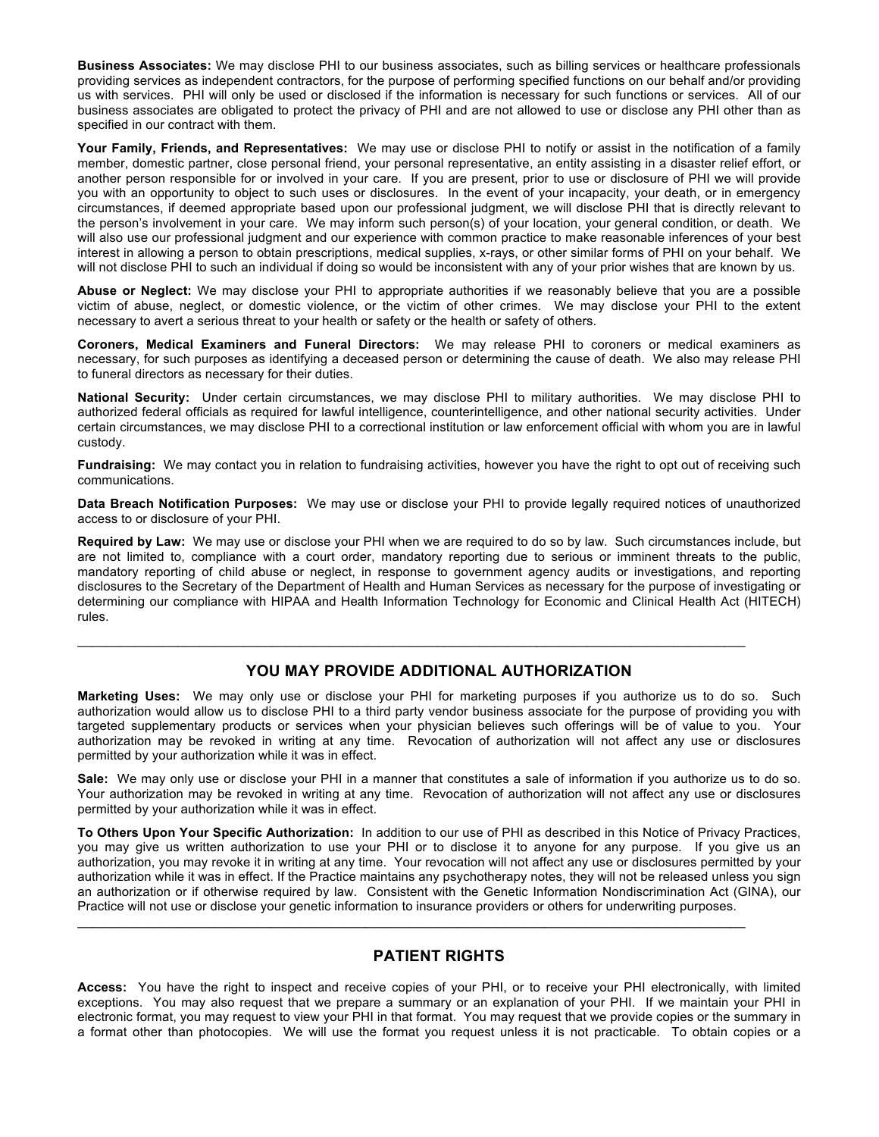**Business Associates:** We may disclose PHI to our business associates, such as billing services or healthcare professionals providing services as independent contractors, for the purpose of performing specified functions on our behalf and/or providing us with services. PHI will only be used or disclosed if the information is necessary for such functions or services. All of our business associates are obligated to protect the privacy of PHI and are not allowed to use or disclose any PHI other than as specified in our contract with them.

**Your Family, Friends, and Representatives:** We may use or disclose PHI to notify or assist in the notification of a family member, domestic partner, close personal friend, your personal representative, an entity assisting in a disaster relief effort, or another person responsible for or involved in your care. If you are present, prior to use or disclosure of PHI we will provide you with an opportunity to object to such uses or disclosures. In the event of your incapacity, your death, or in emergency circumstances, if deemed appropriate based upon our professional judgment, we will disclose PHI that is directly relevant to the person's involvement in your care. We may inform such person(s) of your location, your general condition, or death. We will also use our professional judgment and our experience with common practice to make reasonable inferences of your best interest in allowing a person to obtain prescriptions, medical supplies, x-rays, or other similar forms of PHI on your behalf. We will not disclose PHI to such an individual if doing so would be inconsistent with any of your prior wishes that are known by us.

**Abuse or Neglect:** We may disclose your PHI to appropriate authorities if we reasonably believe that you are a possible victim of abuse, neglect, or domestic violence, or the victim of other crimes. We may disclose your PHI to the extent necessary to avert a serious threat to your health or safety or the health or safety of others.

**Coroners, Medical Examiners and Funeral Directors:** We may release PHI to coroners or medical examiners as necessary, for such purposes as identifying a deceased person or determining the cause of death. We also may release PHI to funeral directors as necessary for their duties.

**National Security:** Under certain circumstances, we may disclose PHI to military authorities. We may disclose PHI to authorized federal officials as required for lawful intelligence, counterintelligence, and other national security activities. Under certain circumstances, we may disclose PHI to a correctional institution or law enforcement official with whom you are in lawful custody.

**Fundraising:** We may contact you in relation to fundraising activities, however you have the right to opt out of receiving such communications.

**Data Breach Notification Purposes:** We may use or disclose your PHI to provide legally required notices of unauthorized access to or disclosure of your PHI.

**Required by Law:** We may use or disclose your PHI when we are required to do so by law. Such circumstances include, but are not limited to, compliance with a court order, mandatory reporting due to serious or imminent threats to the public, mandatory reporting of child abuse or neglect, in response to government agency audits or investigations, and reporting disclosures to the Secretary of the Department of Health and Human Services as necessary for the purpose of investigating or determining our compliance with HIPAA and Health Information Technology for Economic and Clinical Health Act (HITECH) rules.

#### **YOU MAY PROVIDE ADDITIONAL AUTHORIZATION**

 $\mathcal{L}_\mathcal{L} = \mathcal{L}_\mathcal{L} = \mathcal{L}_\mathcal{L} = \mathcal{L}_\mathcal{L} = \mathcal{L}_\mathcal{L} = \mathcal{L}_\mathcal{L} = \mathcal{L}_\mathcal{L} = \mathcal{L}_\mathcal{L} = \mathcal{L}_\mathcal{L} = \mathcal{L}_\mathcal{L} = \mathcal{L}_\mathcal{L} = \mathcal{L}_\mathcal{L} = \mathcal{L}_\mathcal{L} = \mathcal{L}_\mathcal{L} = \mathcal{L}_\mathcal{L} = \mathcal{L}_\mathcal{L} = \mathcal{L}_\mathcal{L}$ 

**Marketing Uses:** We may only use or disclose your PHI for marketing purposes if you authorize us to do so. Such authorization would allow us to disclose PHI to a third party vendor business associate for the purpose of providing you with targeted supplementary products or services when your physician believes such offerings will be of value to you. Your authorization may be revoked in writing at any time. Revocation of authorization will not affect any use or disclosures permitted by your authorization while it was in effect.

**Sale:** We may only use or disclose your PHI in a manner that constitutes a sale of information if you authorize us to do so. Your authorization may be revoked in writing at any time. Revocation of authorization will not affect any use or disclosures permitted by your authorization while it was in effect.

**To Others Upon Your Specific Authorization:** In addition to our use of PHI as described in this Notice of Privacy Practices, you may give us written authorization to use your PHI or to disclose it to anyone for any purpose. If you give us an authorization, you may revoke it in writing at any time. Your revocation will not affect any use or disclosures permitted by your authorization while it was in effect. If the Practice maintains any psychotherapy notes, they will not be released unless you sign an authorization or if otherwise required by law. Consistent with the Genetic Information Nondiscrimination Act (GINA), our Practice will not use or disclose your genetic information to insurance providers or others for underwriting purposes.

#### **PATIENT RIGHTS**

 $\mathcal{L}_\mathcal{L} = \mathcal{L}_\mathcal{L} = \mathcal{L}_\mathcal{L} = \mathcal{L}_\mathcal{L} = \mathcal{L}_\mathcal{L} = \mathcal{L}_\mathcal{L} = \mathcal{L}_\mathcal{L} = \mathcal{L}_\mathcal{L} = \mathcal{L}_\mathcal{L} = \mathcal{L}_\mathcal{L} = \mathcal{L}_\mathcal{L} = \mathcal{L}_\mathcal{L} = \mathcal{L}_\mathcal{L} = \mathcal{L}_\mathcal{L} = \mathcal{L}_\mathcal{L} = \mathcal{L}_\mathcal{L} = \mathcal{L}_\mathcal{L}$ 

**Access:** You have the right to inspect and receive copies of your PHI, or to receive your PHI electronically, with limited exceptions. You may also request that we prepare a summary or an explanation of your PHI. If we maintain your PHI in electronic format, you may request to view your PHI in that format. You may request that we provide copies or the summary in a format other than photocopies. We will use the format you request unless it is not practicable. To obtain copies or a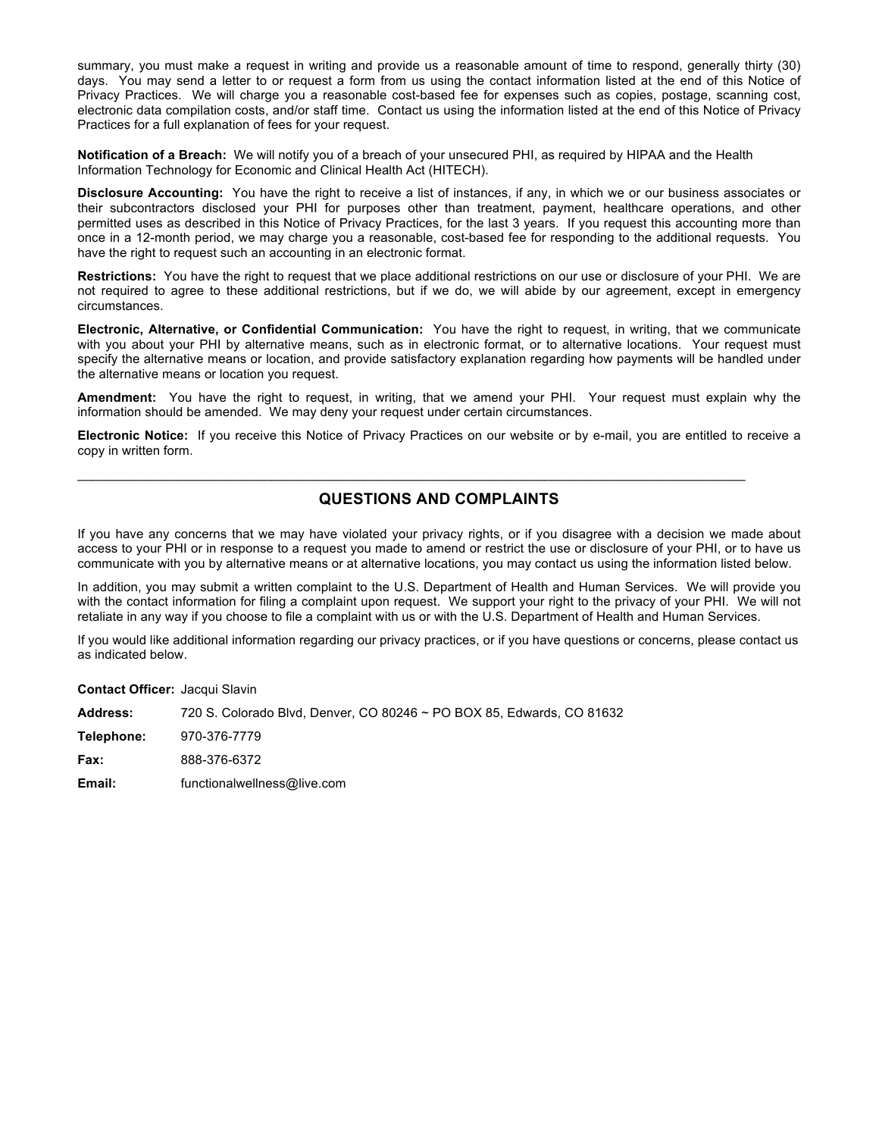summary, you must make a request in writing and provide us a reasonable amount of time to respond, generally thirty (30) days. You may send a letter to or request a form from us using the contact information listed at the end of this Notice of Privacy Practices. We will charge you a reasonable cost-based fee for expenses such as copies, postage, scanning cost, electronic data compilation costs, and/or staff time. Contact us using the information listed at the end of this Notice of Privacy Practices for a full explanation of fees for your request.

**Notification of a Breach:** We will notify you of a breach of your unsecured PHI, as required by HIPAA and the Health Information Technology for Economic and Clinical Health Act (HITECH).

**Disclosure Accounting:** You have the right to receive a list of instances, if any, in which we or our business associates or their subcontractors disclosed your PHI for purposes other than treatment, payment, healthcare operations, and other permitted uses as described in this Notice of Privacy Practices, for the last 3 years. If you request this accounting more than once in a 12-month period, we may charge you a reasonable, cost-based fee for responding to the additional requests. You have the right to request such an accounting in an electronic format.

**Restrictions:** You have the right to request that we place additional restrictions on our use or disclosure of your PHI. We are not required to agree to these additional restrictions, but if we do, we will abide by our agreement, except in emergency circumstances.

**Electronic, Alternative, or Confidential Communication:** You have the right to request, in writing, that we communicate with you about your PHI by alternative means, such as in electronic format, or to alternative locations. Your request must specify the alternative means or location, and provide satisfactory explanation regarding how payments will be handled under the alternative means or location you request.

**Amendment:** You have the right to request, in writing, that we amend your PHI. Your request must explain why the information should be amended. We may deny your request under certain circumstances.

**Electronic Notice:** If you receive this Notice of Privacy Practices on our website or by e-mail, you are entitled to receive a copy in written form.

#### **QUESTIONS AND COMPLAINTS**

 $\mathcal{L}_\mathcal{L} = \mathcal{L}_\mathcal{L} = \mathcal{L}_\mathcal{L} = \mathcal{L}_\mathcal{L} = \mathcal{L}_\mathcal{L} = \mathcal{L}_\mathcal{L} = \mathcal{L}_\mathcal{L} = \mathcal{L}_\mathcal{L} = \mathcal{L}_\mathcal{L} = \mathcal{L}_\mathcal{L} = \mathcal{L}_\mathcal{L} = \mathcal{L}_\mathcal{L} = \mathcal{L}_\mathcal{L} = \mathcal{L}_\mathcal{L} = \mathcal{L}_\mathcal{L} = \mathcal{L}_\mathcal{L} = \mathcal{L}_\mathcal{L}$ 

If you have any concerns that we may have violated your privacy rights, or if you disagree with a decision we made about access to your PHI or in response to a request you made to amend or restrict the use or disclosure of your PHI, or to have us communicate with you by alternative means or at alternative locations, you may contact us using the information listed below.

In addition, you may submit a written complaint to the U.S. Department of Health and Human Services. We will provide you with the contact information for filing a complaint upon request. We support your right to the privacy of your PHI. We will not retaliate in any way if you choose to file a complaint with us or with the U.S. Department of Health and Human Services.

If you would like additional information regarding our privacy practices, or if you have questions or concerns, please contact us as indicated below.

**Contact Officer:** Jacqui Slavin

| 720 S. Colorado Blvd, Denver, CO 80246 ~ PO BOX 85, Edwards, CO 81632 |
|-----------------------------------------------------------------------|
| 970-376-7779                                                          |
| 888-376-6372                                                          |
| functionalwellness@live.com                                           |
|                                                                       |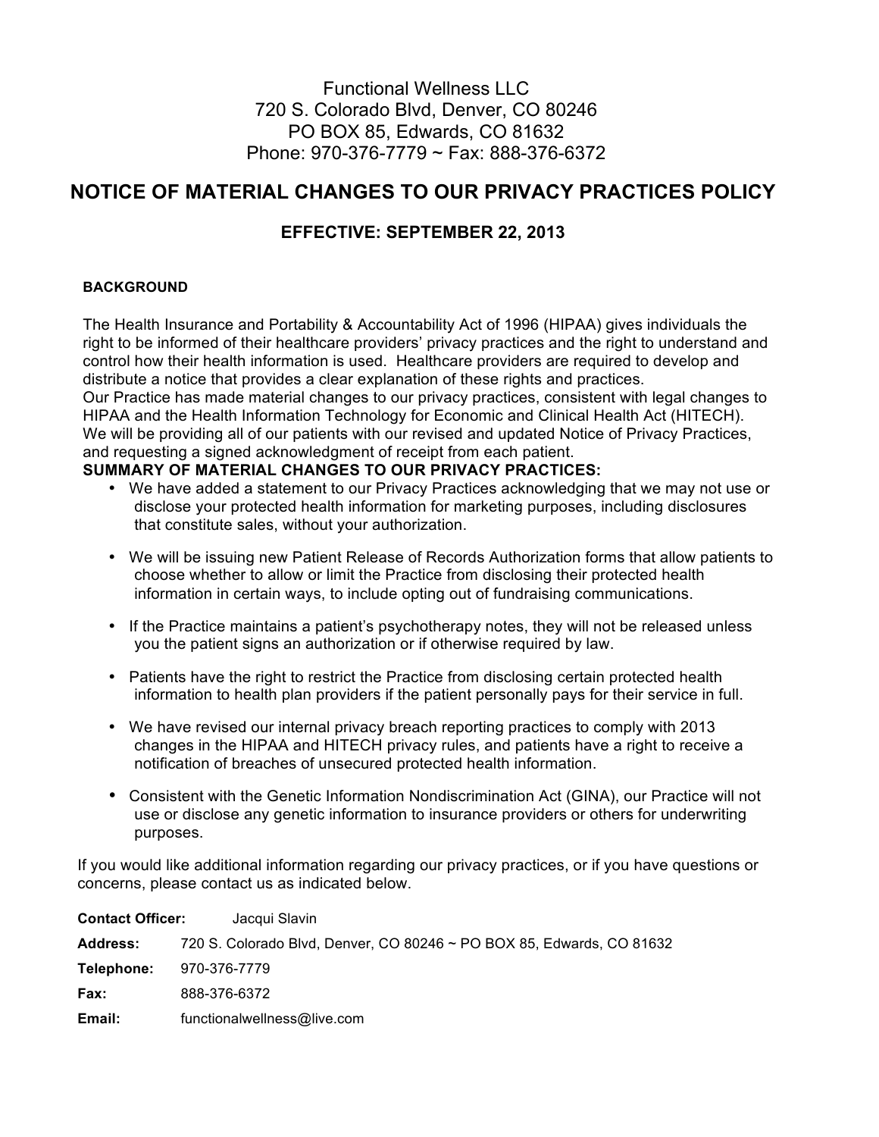## Functional Wellness LLC 720 S. Colorado Blvd, Denver, CO 80246 PO BOX 85, Edwards, CO 81632 Phone: 970-376-7779 ~ Fax: 888-376-6372

## **NOTICE OF MATERIAL CHANGES TO OUR PRIVACY PRACTICES POLICY**

## **EFFECTIVE: SEPTEMBER 22, 2013**

#### **BACKGROUND**

The Health Insurance and Portability & Accountability Act of 1996 (HIPAA) gives individuals the right to be informed of their healthcare providers' privacy practices and the right to understand and control how their health information is used. Healthcare providers are required to develop and distribute a notice that provides a clear explanation of these rights and practices. Our Practice has made material changes to our privacy practices, consistent with legal changes to HIPAA and the Health Information Technology for Economic and Clinical Health Act (HITECH). We will be providing all of our patients with our revised and updated Notice of Privacy Practices, and requesting a signed acknowledgment of receipt from each patient.

#### **SUMMARY OF MATERIAL CHANGES TO OUR PRIVACY PRACTICES:**

- We have added a statement to our Privacy Practices acknowledging that we may not use or disclose your protected health information for marketing purposes, including disclosures that constitute sales, without your authorization.
- We will be issuing new Patient Release of Records Authorization forms that allow patients to choose whether to allow or limit the Practice from disclosing their protected health information in certain ways, to include opting out of fundraising communications.
- If the Practice maintains a patient's psychotherapy notes, they will not be released unless you the patient signs an authorization or if otherwise required by law.
- Patients have the right to restrict the Practice from disclosing certain protected health information to health plan providers if the patient personally pays for their service in full.
- We have revised our internal privacy breach reporting practices to comply with 2013 changes in the HIPAA and HITECH privacy rules, and patients have a right to receive a notification of breaches of unsecured protected health information.
- Consistent with the Genetic Information Nondiscrimination Act (GINA), our Practice will not use or disclose any genetic information to insurance providers or others for underwriting purposes.

If you would like additional information regarding our privacy practices, or if you have questions or concerns, please contact us as indicated below.

| <b>Address:</b> | 720 S. Colorado Blvd, Denver, CO 80246 ~ PO BOX 85, Edwards, CO 81632 |
|-----------------|-----------------------------------------------------------------------|
| Telephone:      | 970-376-7779                                                          |
| Fax:            | 888-376-6372                                                          |
| Email:          | functionalwellness@live.com                                           |